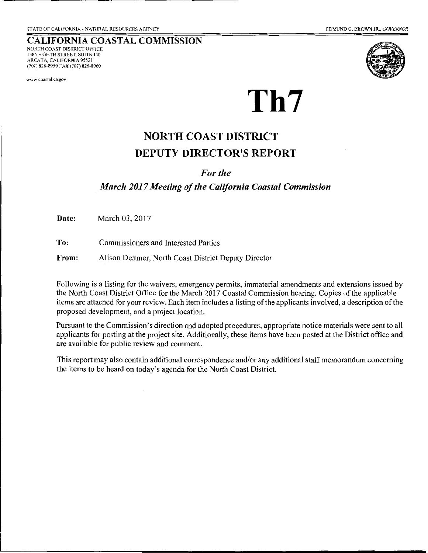### **CALIFORNIA COASTAL COMMISSION**  NORTH COAST DISTRICT OFFICE

1385 EIGHTH STREET, SUITE 130 ARCATA, CALIFORNIA 9552 I (707) 826-8950 FAX (707) 826-8960

**www.coastal.ca.gov** 



# **Th7**

# **NORTH COAST DISTRICT DEPUTY DIRECTOR'S REPORT**

#### *For the*

#### *March 2017 Meeting of the California Coastal Commission*

**Date:** March 03, 2017

**To:** Commissioners and Interested Parties

**From:** Alison Dettmer, North Coast District Deputy Director

Following is a listing for the waivers, emergency permits, immaterial amendments and extensions issued by the North Coast District Office for the March 2017 Coastal Commission hearing. Copies of the applicable items are attached for your review. Each item includes a listing of the applicants involved, a description of the proposed development, and a project location.

Pursuant to the Commission's direction and adopted procedures, appropriate notice materials were sent to all applicants for posting at the project site. Additionally, these items have been posted at the District office and are available for public review and comment.

This report may also contain additional correspondence and/or any additional staff memorandum concerning the items to be heard on today's agenda for the North Coast District.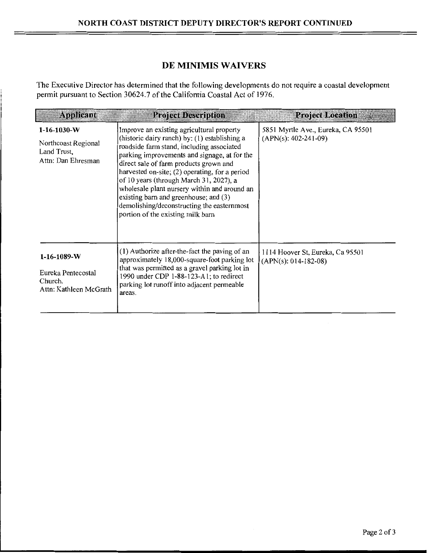#### **DE MINIMIS WAIVERS**

The Executive Director has determined that the following developments do not require a coastal development permit pursuant to Section 30624.7 of the California Coastal Act of 1976.

| <b>Applicant</b>                                                               | <b>Project Description</b>                                                                                                                                                                                                                                                                                                                                                                                                                                                                                 | <b>Project Location</b>                                      |
|--------------------------------------------------------------------------------|------------------------------------------------------------------------------------------------------------------------------------------------------------------------------------------------------------------------------------------------------------------------------------------------------------------------------------------------------------------------------------------------------------------------------------------------------------------------------------------------------------|--------------------------------------------------------------|
| $1-16-1030-W$<br>Northcoast Regional<br>Land Trust,<br>Attn: Dan Ehresman      | Improve an existing agricultural property<br>(historic dairy ranch) by: (1) establishing a<br>roadside farm stand, including associated<br>parking improvements and signage, at for the<br>direct sale of farm products grown and<br>harvested on-site; (2) operating, for a period<br>of 10 years (through March 31, 2027), a<br>wholesale plant nursery within and around an<br>existing barn and greenhouse; and (3)<br>demolishing/deconstructing the easternmost<br>portion of the existing milk barn | 5851 Myrtle Ave., Eureka, CA 95501<br>$(APN(s): 402-241-09)$ |
| $1 - 16 - 1089 - W$<br>Eureka Pentecostal<br>Church,<br>Attn: Kathleen McGrath | (1) Authorize after-the-fact the paving of an<br>approximately 18,000-square-foot parking lot<br>that was permitted as a gravel parking lot in<br>1990 under CDP 1-88-123-A1; to redirect<br>parking lot runoff into adjacent permeable<br>areas.                                                                                                                                                                                                                                                          | 1114 Hoover St, Eureka, Ca 95501<br>$(APN(s): 014-182-08)$   |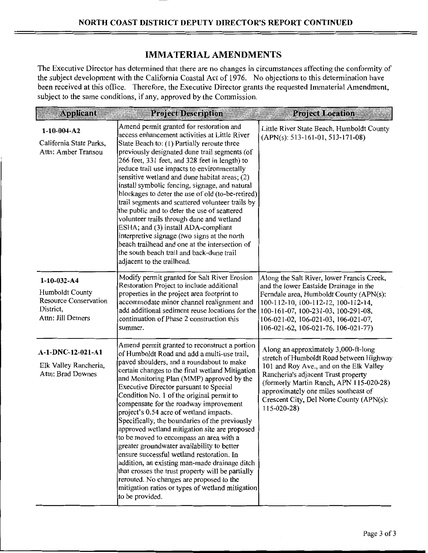#### **IMMATERIAL AMENDMENTS**

The Executive Director has determined that there are no changes in circumstances affecting the conformity of the subject development with the California Coastal Act of 1976. No objections to this determination have been received at this office. Therefore, the Executive Director grants the requested Immaterial Amendment, subject to the same conditions, if any, approved by the Commission.

| <b>Applicant</b>                                                                                     | <b>Project Description</b>                                                                                                                                                                                                                                                                                                                                                                                                                                                                                                                                                                                                                                                                                                                                                                                                                                                              | <b>Project Location</b>                                                                                                                                                                                                                                                                                               |
|------------------------------------------------------------------------------------------------------|-----------------------------------------------------------------------------------------------------------------------------------------------------------------------------------------------------------------------------------------------------------------------------------------------------------------------------------------------------------------------------------------------------------------------------------------------------------------------------------------------------------------------------------------------------------------------------------------------------------------------------------------------------------------------------------------------------------------------------------------------------------------------------------------------------------------------------------------------------------------------------------------|-----------------------------------------------------------------------------------------------------------------------------------------------------------------------------------------------------------------------------------------------------------------------------------------------------------------------|
| $1-10-004- A2$<br>California State Parks,<br>Attn: Amber Transou                                     | Amend permit granted for restoration and<br>access enhancement activities at Little River<br>State Beach to: (1) Partially reroute three<br>previously designated dune trail segments (of<br>266 feet, 331 feet, and 328 feet in length) to<br>reduce trail use impacts to environmentally<br>sensitive wetland and dune habitat areas; (2)<br>install symbolic fencing, signage, and natural<br>blockages to deter the use of old (to-be-retired)<br>trail segments and scattered volunteer trails by<br>the public and to deter the use of scattered<br>volunteer trails through dune and wetland<br>ESHA; and (3) install ADA-compliant<br>interpretive signage (two signs at the north<br>beach trailhead and one at the intersection of<br>the south beach trail and back-dune trail<br>adjacent to the trailhead.                                                                 | Little River State Beach, Humboldt County<br>$(APN(s): 513-161-01, 513-171-08)$                                                                                                                                                                                                                                       |
| $1-10-032 - A4$<br>Humboldt County<br><b>Resource Conservation</b><br>District,<br>Attn: Jill Demers | Modify permit granted for Salt River Erosion<br>Restoration Project to include additional<br>properties in the project area footprint to<br>accommodate minor channel realignment and<br>add additional sediment reuse locations for the<br>continuation of Phase 2 construction this<br>summer.                                                                                                                                                                                                                                                                                                                                                                                                                                                                                                                                                                                        | Along the Salt River, lower Francis Creek,<br>and the lower Eastside Drainage in the<br>Ferndale area, Humboldt County (APN(s):<br>100-112-10, 100-112-12, 100-112-14,<br>100-161-07, 100-231-03, 100-291-08,<br>106-021-02, 106-021-03, 106-021-07,<br>106-021-62, 106-021-76, 106-021-77)                           |
| A-1-DNC-12-021-A1<br>Elk Valley Rancheria,<br>Attn: Brad Downes                                      | Amend permit granted to reconstruct a portion<br>of Humboldt Road and add a multi-use trail,<br>paved shoulders, and a roundabout to make<br>certain changes to the final wetland Mitigation<br>and Monitoring Plan (MMP) approved by the<br>Executive Director pursuant to Special<br>Condition No. 1 of the original permit to<br>compensate for the roadway improvement<br>project's 0.54 acre of wetland impacts.<br>Specifically, the boundaries of the previously<br>approved wetland mitigation site are proposed<br>to be moved to encompass an area with a<br>greater groundwater availability to better<br>ensure successful wetland restoration. In<br>addition, an existing man-made drainage ditch<br>that crosses the trust property will be partially<br>rerouted. No changes are proposed to the<br>mitigation ratios or types of wetland mitigation<br>to be provided. | Along an approximately 3,000-ft-long<br>stretch of Humboldt Road between Highway<br>101 and Roy Ave., and on the Elk Valley<br>Rancheria's adjacent Trust property<br>(formerly Martin Ranch, APN 115-020-28)<br>approximately one miles southeast of<br>Crescent City, Del Norte County (APN(s):<br>$115 - 020 - 28$ |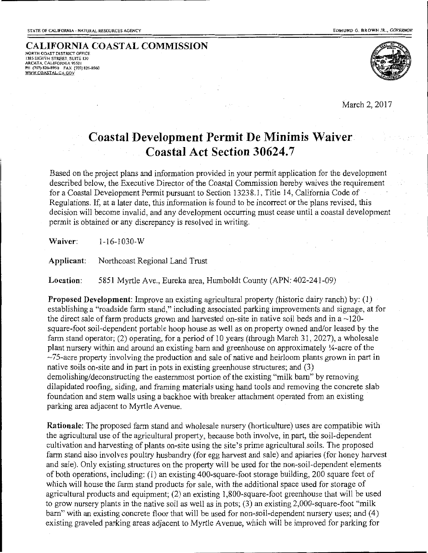**CALIFORNIA COASTAL COMMISSION 1385 EIGHTH STREET, SUITE 130 ARCATA, CALIFORNIA 95521 PH (707) 826-&950 FAX (707) 826-8960 WWW.COASTAL.CA.GOV** 



March 2, 2017

## **Coastal Development Permit De Minimis Waiver Coastal Act Section 30624.7**

Based on the project plans and information provided in your permit application for the development described below, the Executive Director of the Coastal Commission hereby waives the requirement for a Coastal Development Permit pursuant to Section 13238.1, Title 14, California Code of Regulations. If, at a later date, this information is found to be incorrect or the plans revised, this decision will become invalid, and any development occurring must cease until a coastal development permit is obtained or any discrepancy is resolved in writing.

**Waiver:** 1-16-1030-W

**Applicant:** Northcoast Regional Land Trust

**Location:** 5851 Myrtle Ave., Eureka area, Humboldt County (APN: 402-241-09)

**Proposed Development:** Improve an existing agricultural property (historic dairy ranch) by: (1) establishing a "roadside farm stand," including associated parking improvements and signage, at for the direct sale of farm products grown and harvested on-site in native soil beds and in a  $\sim$ 120square-foot soil-dependent portable hoop house as well as on property owned and/or leased by the farm stand operator; (2) operating, for a period of 10 years (through March 31, 2027), a wholesale plant nursery within and around an existing barn and greenhouse on approximately  $\frac{1}{4}$ -acre of the  $\sim$ 75-acre property involving the production and sale of native and heirloom plants grown in part in native soils on-site and in part in pots in existing greenhouse structures; and (3) demolishing/deconstructing the easternmost portion of the existing "milk barn" by removing dilapidated roofing, siding, and framing materials using hand tools and removing the concrete slab foundation and stem walls using a backhoe with breaker attachment operated from an existing parking area adjacent to Myrtle Avenue.

**Rationale:** The proposed farm stand and wholesale nursery (horticulture) uses are compatible with the agricultural use of the agricultural property, because both involve, in part, the soil-dependent cultivation and harvesting of plants on-site using the site's prime agricultural soils. The proposed farm stand also involves poultry husbandry (for egg harvest and sale) and apiaries (for honey harvest and sale). Only existing structures on the property will be used for the non-soil-dependent elements of both operations, including: (1) an existing 400-square-foot storage building, 200 square feet of which will house the farm stand products for sale, with the additional space used for storage of agricultural products and equipment; (2) an existing 1 ,800-square-foot greenhouse that will be used to grow nursery plants in the native soil as well as in pots; (3) an existing 2,000-square-foot "milk bam" with an existing concrete floor that will be used for non-soil-dependent nursery uses; and (4) existing graveled parking areas adjacent to Myrtle Avenue, which will be improved for parking for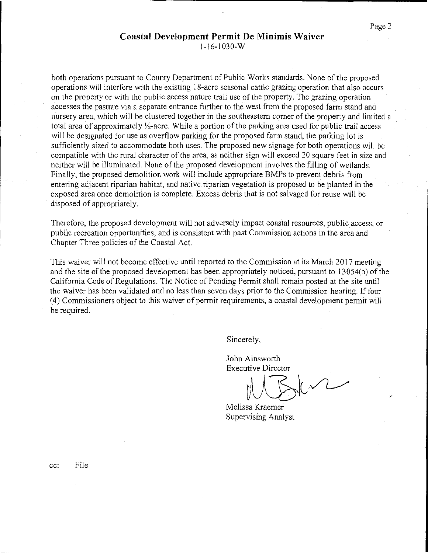## **Coastal Development Permit De Minimis Waiver**

1-16-1030-W

both operations pursuant to County Department of Public Works standards. None of the proposed operations will interfere with the existing 18-acre seasonal cattle grazing operation that also occurs on the property or with the public access nature trail use of the property. The grazing operation accesses the pasture via a separate entrance further to the west from the proposed farm stand and nursery area, which will be clustered together in the southeastern comer of the property and limited a total area of approximately  $\frac{1}{2}$ -acre. While a portion of the parking area used for public trail access will be designated for use as overflow parking for the proposed farm stand, the parking lot is sufficiently sized to accommodate both uses. The proposed new signage for both operations will be compatible with the rural character of the area, as neither sign will exceed 20 square feet in size and neither will be illuminated. None of the proposed development involves the filling of wetlands. Finally, the proposed demolition work will include appropriate BMPs to prevent debris from entering adjacent riparian habitat, and native riparian vegetation is proposed to be planted in the exposed area once demolition is complete. Excess debris that is not salvaged for reuse will be disposed of appropriately.

Therefore, the proposed development will not adversely impact coastal resources, public access, or public recreation opportunities, and is consistent with past Commission actions in the area and Chapter Three policies of the Coastal Act.

This waiver will not become effective until reported to the Commission at its March 2017 meeting and the site of the proposed development has been appropriately noticed, pursuant to l3054(b) of the California Code of Regulations. The Notice of Pending Permit shall remain posted at the site until the waiver has been validated and no less than seven days prior to the Commission hearing. Iffour ( 4) Commissioners object to this waiver of permit requirements, a coastal development permit will be required.

Sincerely,

John Ainsworth Executive Director

Melissa Kraemer Supervising Analyst

cc: File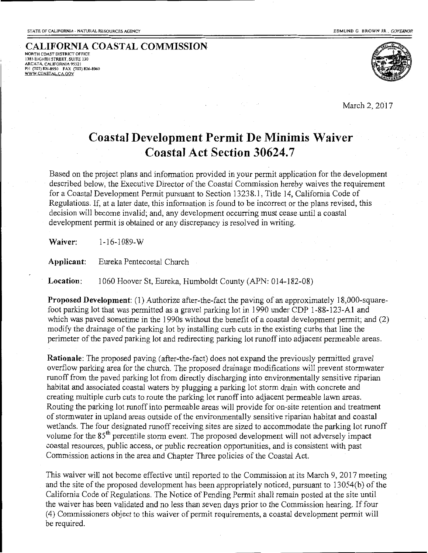## **CALIFORNIA COASTAL COMMISSION NORTH COAST DISTRICT OFFICE 1385 EIGHTH STREET, SUITE 130 ARCATA, CALIFORNIA 95521 PH (707) 826-8950 FAX {707) 826-8960 WWW COAST AI CA GOV**



March 2, 2017

# **Coastal Development Permit De Minimis Waiver Coastal Act Section 30624.7**

Based on the project plans and information provided in your permit application for the development described below, the Executive Director of the Coastal Commission hereby waives the requirement for a Coastal Development Permit pursuant to Section 13238.1, Title 14, California Code of Regulations. If, at a later date, this information is found to be incorrect or the plans revised, this decision will become invalid; and, any development occurring must cease until a coastal development permit is obtained or any discrepancy is resolved in writing.

**Waiver:** 1-16-1089-W

**Applicant:** Eureka Pentecostal Church

**Location:** 1060 Hoover St, Eureka, Humboldt County (APN: 014-182-08)

**Proposed Development:** (1) Authorize after-the-fact the paving of an approximately 18,000-squarefoot parking lot that was permitted as a gravel parking lot in 1990 under CDP 1-88-123-A1 and which was paved sometime in the 1990s without the benefit of a coastal development permit; and (2) modify the drainage of the parking lot by installing curb cuts in the existing curbs that line the perimeter of the paved parking lot and redirecting parking lot runoff into adjacent permeable areas.

**Rationale:** The proposed paving (after-the-fact) does not expand the previously permitted gravel overflow parking area for the church. The proposed drainage modifications will prevent stormwater runoff from the paved parking lot from directly discharging into environmentally sensitive riparian habitat and associated coastal waters by plugging a parking lot storm drain with concrete and creating multiple curb cuts to route the parking lot runoff into adjacent permeable lawn areas. Routing the parking Jot runoff into permeable areas will provide for on-site retention and treatment of storm water in upland areas outside of the environmentally sensitive riparian habitat and coastal wetlands. The four designated runoff receiving sites are sized to accommodate the parking lot runoff volume for the 85<sup>th</sup> percentile storm event. The proposed development will not adversely impact coastal resources, public access, or public recreation opportunities, and is consistent with past Commission actions in the area and Chapter Three policies of the Coastal Act.

This waiver will not become effective until reported to the Commission at its March 9, 2017 meeting and the site of the proposed development has been appropriately noticed, pursuant to 13054(b) of the California Code of Regulations. The Notice of Pending Permit shall remain posted at the site until the waiver has been validated and no less than seven days prior to the Commission hearing. If four (4) Commissioners object to this waiver of permit requirements, a coastal development permit will be required.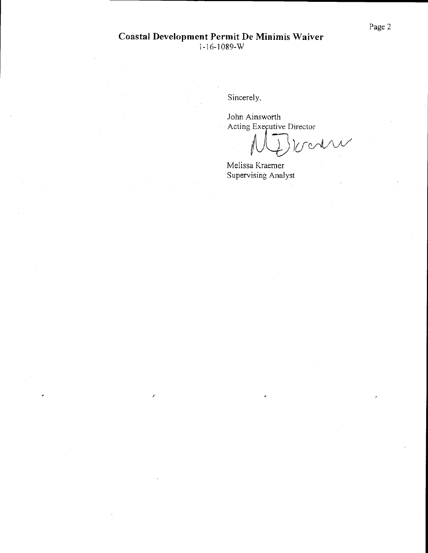Sincerely,

John Ainsworth Acting Executive Director

Voodre

Melissa Kraemer Supervising Analyst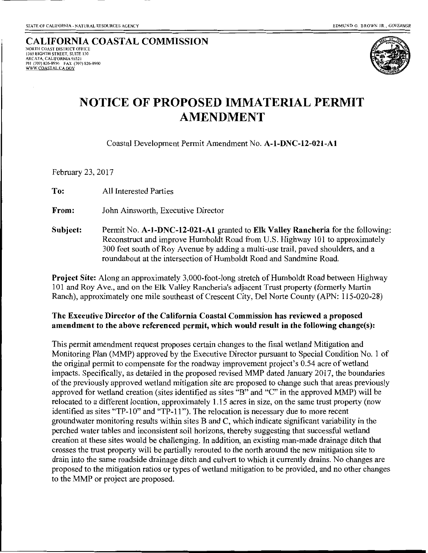#### CALIFORNIA COASTAL COMMISSION NORTH COAST DISTRlCT OFFICE l3S5 EIGHTH STREET, SUITE 130 ARCATA, CALIFORNIA 95521 PH (707) 826-8950 FAX (707) 826-8960 WWW.COASTALCA.GOV



# **NOTICE OF PROPOSED IMMATERIAL PERMIT AMENDMENT**

Coastal Development Permit Amendment No. A-1-DNC-12-021-A1

February 23, 2017

To: All Interested Parties

From: John Ainsworth, Executive Director

Subject: Permit No. A-1-DNC-12-021-A1 granted to Elk Valley Rancheria for the following: Reconstruct and improve Humboldt Road from U.S. Highway 101 to approximately 300 feet south of Roy Avenue by adding a multi-use trail, paved shoulders, and a roundabout at the intersection of Humboldt Road and Sandmine Road.

Project Site: Along an approximately 3,000-foot-long stretch of Humboldt Road between Highway 101 and Roy Ave., and on the Elk Valley Rancheria's adjacent Trust property (formerly Martin Ranch), approximately one mile southeast of Crescent City, Del Norte County (APN: 115-020-28)

#### The Executive Director of the California Coastal Commission has reviewed a proposed amendment to the above referenced permit, which would result in the following change(s):

This permit amendment request proposes certain changes to the final wetland Mitigation and Monitoring Plan (MMP) approved by the Executive Director pursuant to Special Condition No. 1 of the original permit to compensate for the roadway improvement project's 0.54 acre of wetland impacts. Specifically, as detailed in the proposed revised MMP dated January 2017, the boundaries of the previously approved wetland mitigation site are proposed to change such that areas previously approved for wetland creation (sites identified as sites "B" and "C" in the approved MMP) will be relocated to a different location, approximately 1.15 acres in size, on the same trust property (now identified as sites "TP-10" and "TP-11"). The relocation is necessary due to more recent groundwater monitoring results within sites B and C, which indicate significant variability in the perched water tables and inconsistent soil horizons, thereby suggesting that successful wetland creation at these sites would be challenging. In addition, an existing man-made drainage ditch that crosses the trust property will be partially rerouted to the north around the new mitigation site to drain into the same roadside drainage ditch and culvert to which it currently drains. No changes are proposed to the mitigation ratios or types of wetland mitigation to be provided, and no other changes to the MMP or project are proposed.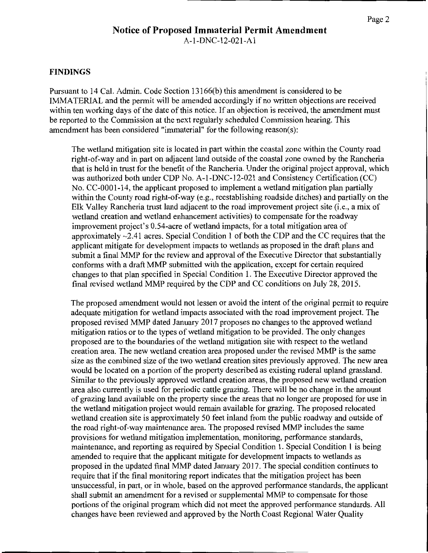#### **Notice of Proposed Immaterial Permit Amendment**  A-1-DNC-12-021-A 1

#### **FINDINGS**

Pursuant to 14 Cal. Admin. Code Section 13166(b) this amendment is considered to be IMMATERIAL and the permit will be amended accordingly if no written objections are received within ten working days of the date of this notice. If an objection is received, the amendment must be reported to the Commission at the next regularly scheduled Commission hearing. This amendment has been considered "immaterial" for the following reason(s):

The wetland mitigation site is located in part within the coastal zone within the County road right-of-way and in part on adjacent land outside of the coastal zone owned by the Rancheria that is held in trust for the benefit of the Rancheria. Under the original project approval, which was authorized both under CDP No. A-1-DNC-12-021 and Consistency Certification (CC) No. CC-0001-14, the applicant proposed to implement a wetland mitigation plan partially within the County road right-of-way (e.g., reestablishing roadside ditches) and partially on the Elk Valley Rancheria trust land adjacent to the road improvement project site (i.e., a mix of wetland creation and wetland enhancement activities) to compensate for the roadway improvement project's 0.54-acre of wetland impacts, for a total mitigation area of approximately ~2.41 acres. Special Condition I of both the CDP and the CC requires that the applicant mitigate for development impacts to wetlands as proposed in the draft plans and submit a final MMP for the review and approval of the Executive Director that substantially conforms with a draft MMP submitted with the application, except for certain required changes to that plan specified in Special Condition 1. The Executive Director approved the final revised wetland MMP required by the CDP and CC conditions on July 28, 2015.

The proposed amendment would not lessen or avoid the intent of the original permit to require adequate mitigation for wetland impacts associated with the road improvement project. The proposed revised MMP dated January 2017 proposes no changes to the approved wetland mitigation ratios or to the types of wetland mitigation to be provided. The only changes proposed are to the boundaries of the wetland mitigation site with respect to the wetland creation area. The new wetland creation area proposed under the revised MMP is the same size as the combined size of the two wetland creation sites previously approved. The new area would be located on a portion of the property described as existing ruderal upland grassland. Similar to the previously approved wetland creation areas, the proposed new wetland creation area also currently is used for periodic cattle grazing. There will be no change in the amount of grazing land available on the property since the areas that no longer are proposed for use in the wetland mitigation project would remain available for grazing. The proposed relocated wetland creation site is approximately 50 feet inland from the public roadway and outside of the road right-of-way maintenance area. The proposed revised MMP includes the same provisions for wetland mitigation implementation, monitoring, performance standards, maintenance, and reporting as required by Special Condition 1. Special Condition I is being amended to require that the applicant mitigate for development impacts to wetlands as proposed in the updated final MMP dated January 2017. The special condition continues to require that if the final monitoring report indicates that the mitigation project has been unsuccessful, in part, or in whole, based on the approved performance standards, the applicant shall submit an amendment for a revised or supplemental MMP to compensate for those portions of the original program which did not meet the approved performance standards. All changes have been reviewed and approved by the North Coast Regional Water Quality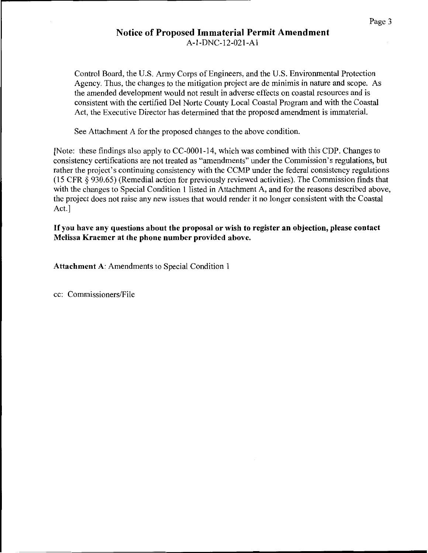#### Notice of Proposed Immaterial Permit Amendment A-1-DNC-12-021-Al

Control Board, the U.S. Army Corps of Engineers, and the U.S. Environmental Protection Agency. Thus, the changes to the mitigation project are de minimis in nature and scope. As the amended development would not result in adverse effects on coastal resources and is consistent with the certified Del Norte County Local Coastal Program and with the Coastal Act, the Executive Director has determined that the proposed amendment is immaterial.

See Attachment A for the proposed changes to the above condition.

[Note: these findings also apply to CC-0001-14, which was combined with this CDP. Changes to consistency certifications are not treated as "amendments" under the Commission's regulations, but rather the project's continuing consistency with the CCMP under the federal consistency regulations (15 CFR § 930.65) (Remedial action for previously reviewed activities). The Commission finds that with the changes to Special Condition 1 listed in Attachment A, and for the reasons described above, the project does not raise any new issues that would render it no longer consistent with the Coastal Act.]

If you have any questions about the proposal or wish to register an objection, please contact Melissa Kraemer at the phone number provided above.

Attachment A: Amendments to Special Condition 1

cc: Commissioners/File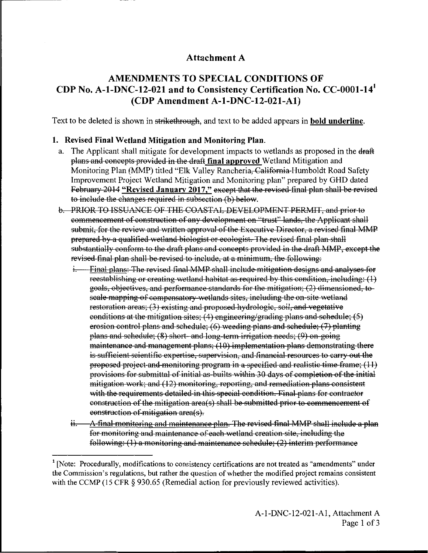### **Attachment A**

## **AMENDMENTS TO SPECIAL CONDITIONS OF CDP No. A-1-DNC-12-021 and to Consistency Certification No. CC-0001-14<sup>1</sup> (CDP Amendment A-1-DNC-12-021-A1)**

Text to be deleted is shown in strikethrough, and text to be added appears in **bold underline.** 

#### **1. Revised Final Wetland Mitigation and Monitoring Plan.**

- a. The Applicant shall mitigate for development impacts to wetlands as proposed in the draft plans and concepts provided in the draft final approved Wetland Mitigation and Monitoring Plan (MMP) titled "Elk Valley Rancheria, California Humboldt Road Safety Improvement Project Wetland Mitigation and Monitoring plan" prepared by GHD dated February 2014 "Revised January 2017," except that the revised final plan shall be revised to include the changes required in subsection (b) below.
- b. PRIOR TO ISSUANCE OF THE COASTAL DEVELOPMENT PERMIT, and prior to commencement of construction of any development on "trust" lands, the Applicant shall submit, for the review and written approval of the Executive Director, a revised final MMP prepared by a qualified wetland biologist or ecologist. The revised final plan shall substantially conform to the draft plans and concepts provided in the draft MMP, except the revised final plan shall be revised to include, at a minimum, the following:
	- i. Final plans: The revised final MMP shall include mitigation designs and analyses for reestablishing or creating wetland habitat as required by this condition, including:  $(1)$ goals, objectives, and performance standards for the mitigation; (2) dimensioned, to scale mapping of compensatory wetlands sites, including the on-site wetland restoration areas; (3) existing and proposed hydrologic, soil, and vegetative conditions at the mitigation sites; (4) engineering/grading plans and schedule;  $(5)$ erosion control plans and schedule;  $(6)$  weeding plans and schedule;  $(7)$  planting plans and schedule;  $(8)$  short- and long-term irrigation needs;  $(9)$  on going maintenance and management plans; (10) implementation plans demonstrating there is sufficient scientific expertise, supervision, and financial resources to carry out the proposed project and monitoring program in a specified and realistic time frame;  $(11)$ provisions for submittal of initial as-builts within 30 days of completion of the initial mitigation work; and (12) monitoring, reporting, and remediation plans consistent with the requirements detailed in this special condition. Final plans for contractor construction of the mitigation area(s) shall be submitted prior to commencement of construction of mitigation area(s).
	- ii. A final monitoring and maintenance plan. The revised final MMP shall include a plan for monitoring and maintenance of each wetland creation site, including the following: (1) a monitoring and maintenance schedule; (2) interim performance

<sup>&</sup>lt;sup>1</sup> [Note: Procedurally, modifications to consistency certifications are not treated as "amendments" under the Commission's regulations, but rather the question of whether the modified project remains consistent with the CCMP (15 CFR  $\S$  930.65 (Remedial action for previously reviewed activities).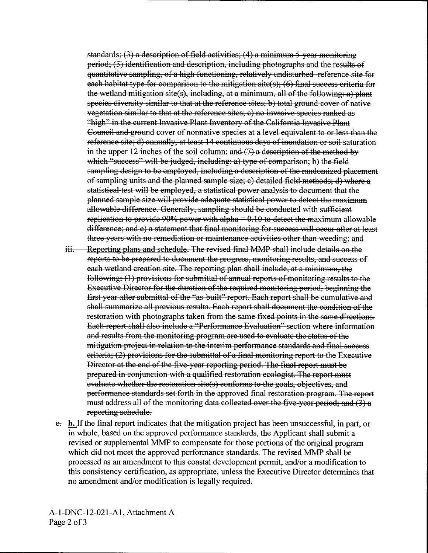standards;  $(3)$  a description of field activities;  $(4)$  a minimum 5-year monitoring period; (5) identification and description, including photographs and the results of quantitative sampling, of a high functioning, relatively undisturbed reference site for each habitat type for comparison to the mitigation site(s);  $(6)$  final success criteria for the wetland mitigation site(s), including, at a minimum, all of the following: a) plant species diversity similar to that at the reference sites; b) total ground cover of native vegetation similar to that at the reference sites; c) no invasive species nmked as "high" in the current Invasive Plant Inventory of the California Invasive Plant Council and ground cover of nonnative species at a level equivalent to or less than the reference site; d) annually, at least 14 continuous days of inundation or soil saturation in the upper 12 inches of the soil column; and  $(7)$  a description of the method by which "success" will be judged, including: a) type of comparison; b) the field sampling design to be employed, including a description of the randomized placement of sampling units and the planned sample size; e) detailed field methods; d) where a statistical test will be employed, a statistical power analysis to document that the planned sample size will provide adequate statistical power to detect the maximum allowable difference. Generally, sampling should be conducted with sufficient replication to provide 90% power with alpha $= 0.10$  to detect the maximum allowable difference; and e) a statement that final monitoring for success will occur after at least three years with no remediation or maintenance activities other than weeding; and

- iii. Reporting plans and schedule. The revised final MMP shall include details on the reports to be prepared to document the progress, monitoring results, and success of each-wetland creation site. The reporting plan shall include, at a minimum, the following: (1) provisions for submittal of annual reports of monitoring results to the Executive Director for the duration of the required monitoring period, beginning the first year after submittal of the "as-built" report. Each report shall be cumulative and shall summarize all previous results. Each report shall document the condition of the restoration with photographs taken from the same fixed points in the same directions. Each report shall also include a "Performance Evaluation" section where information and results from the monitoring program are used to evaluate the status of the mitigation project in relation to the interim performance standards and final success criteria; (2) provisions for the submittal of a final monitoring report to the Executive Director at the end of the five year reporting period. The final report must be prepared in conjunction with a qualified restoration ecologist. The report must evaluate whether the restoration site(s) conforms to the goals, objectives, and perfurmance standards set forth in the approved final restoration program. The report must address all of the monitoring data collected over the five year period; and (3) a reporting schedule.
- e. b. If the final report indicates that the mitigation project has been unsuccessful, in part, or in whole, based on the approved performance standards, the Applicant shall submit a revised or supplemental MMP to compensate for those portions of the original program which did not meet the approved performance standards. The revised MMP shall be processed as an amendment to this coastal development permit, and/or a modification to this consistency certification, as appropriate, unless the Executive Director determines that no amendment and/or modification is legally required.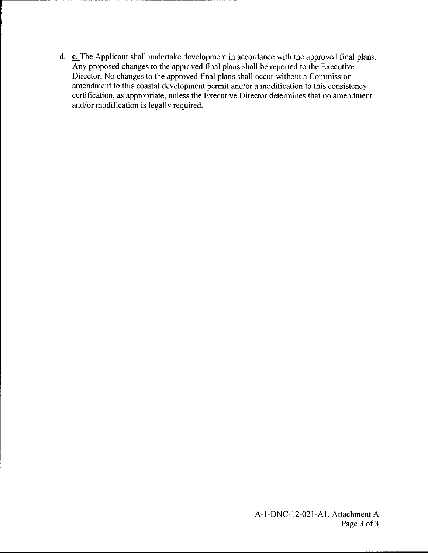d. c. The Applicant shall undertake development in accordance with the approved final plans. Any proposed changes to the approved final plans shall be reported to the Executive Director. No changes to the approved final plans shall occur without a Commission amendment to this coastal development permit and/or a modification to this consistency certification, as appropriate, unless the Executive Director determines that no amendment and/or modification is legally required.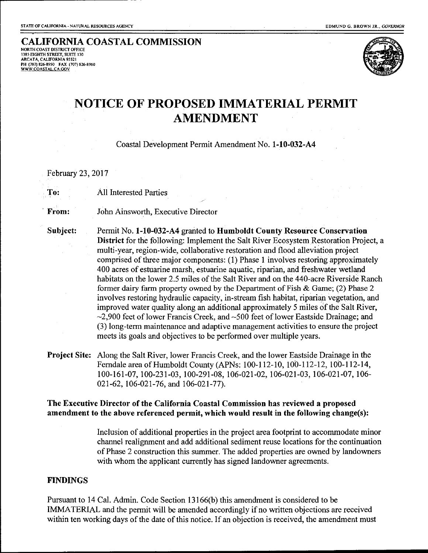CALIFORNIA COASTAL COMMISSION 1385 EIGlffH STREET, SUITE 130 ARCATA, CALIFORNIA 95521 PH (707) 826-8950 FAX (707) 826-8960 WWW.COASTAL.CA.GOV



## NOTICE OF PROPOSED IMMATERIAL PERMIT AMENDMENT

Coastal Development Permit Amendment No. 1-10-032-A4

February 23, 2017

To: All Interested Parties

**From:** John Ainsworth, Executive Director

Subject: Permit No. 1-10-032-A4 granted to Humboldt County Resource Conservation District for the following: Implement the Salt River Ecosystem Restoration Project, a multi-year, region-wide, collaborative restoration and flood alleviation project comprised of three major components: (I) Phase I involves restoring approximately 400 acres of estuarine marsh, estuarine aquatic, riparian, and freshwater wetland habitats on the lower 2.5 miles of the Salt River and on the 440-acre Riverside Ranch former dairy farm property owned by the Department of Fish & Game; (2) Phase 2 involves restoring hydraulic capacity, in-stream fish habitat, riparian vegetation, and improved water quality along an additional approximately 5 miles of the Salt River,  $\sim$ 2,900 feet of lower Francis Creek, and  $\sim$ 500 feet of lower Eastside Drainage; and (3) long-term maintenance and adaptive management activities to ensure the project meets its goals and objectives to be performed over multiple years.

Project Site: Along the Salt River, lower Francis Creek, and the lower Eastside Drainage in the Ferndale area of Humboldt County (APNs: l00-II2-10, 100-112-12, IOO-I12-14, 100-161-07, 100-231-03, I00-291-08, I06-02I-02, 106-02I-03, 106-02I-07, I06- 021-62, 106-021-76, and 106-021-77).

The Executive Director of the California Coastal Commission has reviewed a proposed amendment to the above referenced permit, which would result in the following change(s):

> Inclusion of additional properties in the project area footprint to accommodate minor channel realignment and add additional sediment reuse locations for the continuation of Phase 2 construction this summer. The added properties are owned by landowners with whom the applicant currently has signed landowner agreements.

#### FINDINGS

Pursuant to I4 Cal. Admin. Code Section 13166(b) this amendment is considered to be IMMATERIAL and the permit will be amended accordingly if no written objections are received within ten working days of the date of this notice. If an objection is received, the amendment must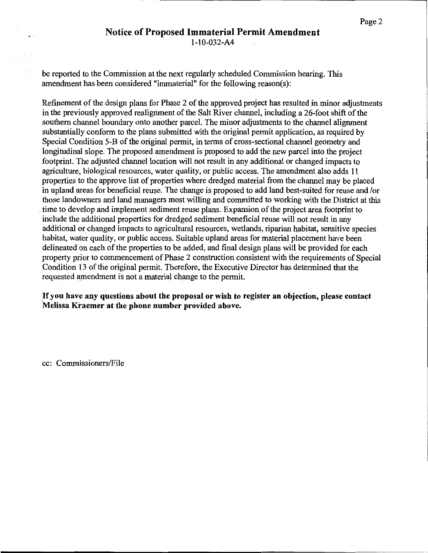be reported to the Commission at the next regularly scheduled Commission hearing. This amendment has been considered "immaterial" for the following reason(s):

Refinement of the design plans for Phase 2 of the approved project has resulted in minor adjustments in the previously approved realignment of the Salt River channel, including a 26-foot shift of the southern channel boundary onto another parcel. The minor adjustments to the channel alignment substantially conform to the plans submitted with the original permit application, as required by Special Condition 5-B of the original permit, in terms of cross-sectional channel geometry and longitudinal slope. The proposed amendment is proposed to add the new parcel into the project footprint. The adjusted channel location will not result in any additional or changed impacts to agriculture, biological resources, water quality, or public access. The amendment also adds 11 properties to the approve list of properties where dredged material from the channel may be placed in upland areas for beneficial reuse. The change is proposed to add land best-suited for reuse and /or those landowners and land managers most willing and committed to working with the District at this . time to develop and implement sediment reuse plans. Expansion of the project area footprint to include the additional properties for dredged sediment beneficial reuse will not result in any additional or changed impacts to agricultural resources, wetlands, riparian habitat, sensitive species habitat, water quality, or public access. Suitable upland areas for material placement have been delineated on each of the properties to be added, and final design plans will be provided for each property prior to commencement of Phase 2 construction consistent with the requirements of Special Condition 13 of the original permit. Therefore, the Executive Director has determined that the requested amendment is not a material change to the permit.

If you have any questions about the proposal or wish to register an objection, please contact Melissa Kraemer at the phone number provided above.

cc: Commissioners/File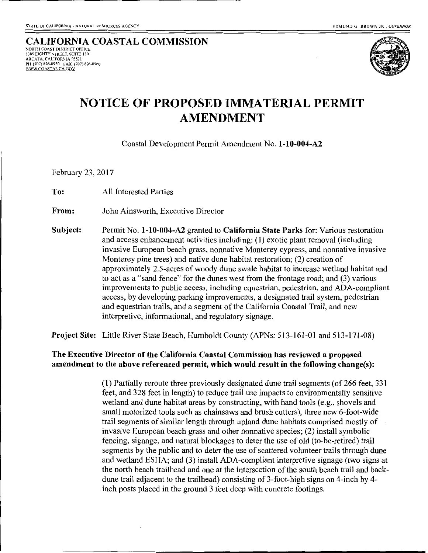#### CALIFORNIA COASTAL COMMISSION 1385 EIGHTH STREET, SUITE 130 ARCATA, CALIFORNIA 95521 PH (707) 826-8950 FAX (707) 826-8960 WWW.COASTAL.CA.GOV



# **NOTICE OF PROPOSED IMMATERIAL PERMIT AMENDMENT**

Coastal Development Permit Amendment No. 1-10-004-A2

February 23, 2017

To: All Interested Parties

From: John Ainsworth, Executive Director

Subject: Permit No. 1-10-004-A2 granted to California State Parks for: Various restoration and access enhancement activities including: (1) exotic plant removal (including invasive European beach grass, nonnative Monterey cypress, and nonnative invasive Monterey pine trees) and native dune habitat restoration; (2) creation of approximately 2.5-acres of woody dune swale habitat to increase wetland habitat and to act as a "sand fence" for the dunes west from the frontage road; and (3) various improvements to public access, including equestrian, pedestrian, and ADA-compliant access, by developing parking improvements, a designated trail system, pedestrian and equestrian trails, and a segment of the California Coastal Trail, and new interpretive, informational, and regulatory signage.

Project Site: Little River State Beach, Humboldt County (APNs: 513-161-01 and 513-171-08)

#### The Executive Director of the California Coastal Commission has reviewed a proposed amendment to the above referenced permit, which would result in the following change(s):

(1) Partially reroute three previously designated dune trail segments (of 266 feet, 331 feet, and 328 feet in length) to reduce trail use impacts to environmentally sensitive wetland and dune habitat areas by constructing, with hand tools (e.g., shovels and small motorized tools such as chainsaws and brush cutters), three new 6-foot-wide trail segments of similar length through upland dune habitats comprised mostly of invasive European beach grass and other nonnative species; (2) install symbolic fencing, signage, and natural blockages to deter the use of old (to-be-retired) trail segments by the public and to deter the use of scattered volunteer trails through dune and wetland ESHA; and (3) install ADA-compliant interpretive signage (two signs at the north beach trailhead and one at the intersection of the south beach trail and backdune trail adjacent to the trailhead) consisting of 3-foot-high signs on 4-inch by 4 inch posts placed in the ground 3 feet deep with concrete footings.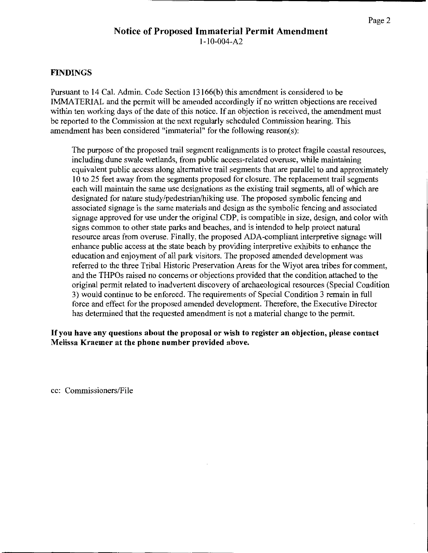#### FINDINGS

Pursuant to 14 Cal. Admin. Code Section 13166(b) this amendment is considered to be IMMATERIAL and the permit will be amended accordingly if no written objections are received within ten working days of the date of this notice. If an objection is received, the amendment must be reported to the Commission at the next regularly scheduled Commission hearing. This amendment has been considered "immaterial" for the following reason(s):

The purpose of the proposed trail segment realignments is to protect fragile coastal resources, including dune swale wetlands, from public access-related overuse, while maintaining equivalent public access along alternative trail segments that are parallel to and approximately 1 0 to 25 feet away from the segments proposed for closure. The replacement trail segments each will maintain the same use designations as the existing trail segments, all of which are designated for nature study/pedestrian/hiking use. The proposed symbolic fencing and associated signage is the same materials and design as the symbolic fencing and associated signage approved for use under the original CDP, is compatible in size, design, and color with signs common to other state parks and beaches, and is intended to help protect natural resource areas from overuse. Finally, the proposed ADA-compliant interpretive signage will enhance public access at the state beach by providing interpretive exhibits to enhance the education and enjoyment of all park visitors. The proposed amended development was referred to the three Tribal Historic Preservation Areas for the Wiyot area tribes for comment, and the THPOs raised no concerns or objections provided that the condition attached to the original permit related to inadvertent discovery of archaeological resources (Special Condition 3) would continue to be enforced. The requirements of Special Condition 3 remain in full force and effect for the proposed amended development. Therefore, the Executive Director has determined that the requested amendment is not a material change to the permit.

If you have any questions about the proposal or wish to register an objection, please contact Melissa Kraemer at the phone number provided above.

cc: Commissioners/File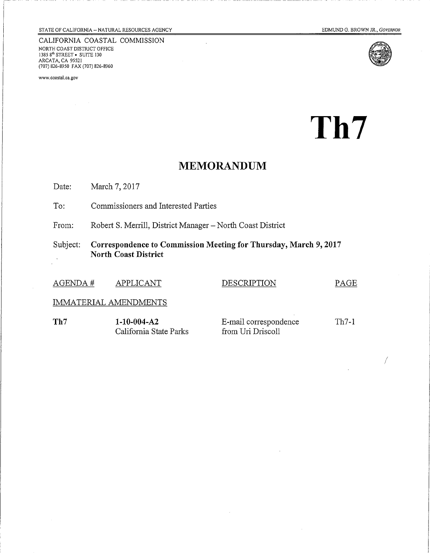CALIFORNIA COASTAL COMMISSION NORTH COAST DISTRICT OFFICE 1385 $8^{\text{th}}$  STREET  $\bullet$  SUITE 130 ARCATA, CA 95521 (707) 826-8950 FAX (707) 826-8960

www.coastal.ca.gov





 $\int$ 

Th7

## **MEMORANDUM**

March 7, 2017 Date:

To: Commissioners and Interested Parties

Robert S. Merrill, District Manager - North Coast District From:

Correspondence to Commission Meeting for Thursday, March 9, 2017 Subject: **North Coast District** 

| AGENDA#               | APPLICANT                                | <b>DESCRIPTION</b>                         | PAGE    |
|-----------------------|------------------------------------------|--------------------------------------------|---------|
| IMMATERIAL AMENDMENTS |                                          |                                            |         |
| Th7                   | $1-10-004- A2$<br>California State Parks | E-mail correspondence<br>from Uri Driscoll | $Th7-1$ |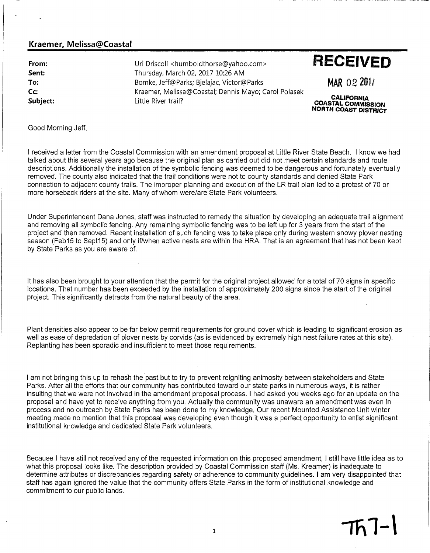#### Kraemer, Melissa@Coastal

From: Sent: To: Cc: Subiect:

Uri Driscoll <humboldthorse@yahoo.com> Thursday, March 02, 2017 10:26 AM Bomke, Jeff@Parks; Bjelajac, Victor@Parks Kraemer, Melissa@Coastal; Dennis Mayo; Carol Polasek Little River trail?

# **RECEIVED**

MAR 02 201/

**CALIFORNIA**<br>COASTAL COMMISSION NORTH COAST DISTRICT

#### Good Morning Jeff.

I received a letter from the Coastal Commission with an amendment proposal at Little River State Beach. I know we had talked about this several vears ago because the original plan as carried out did not meet certain standards and route descriptions. Additionally the installation of the symbolic fencing was deemed to be dangerous and fortunately eventually removed. The county also indicated that the trail conditions were not to county standards and denied State Park connection to adjacent county trails. The improper planning and execution of the LR trail plan led to a protest of 70 or more horseback riders at the site. Many of whom were/are State Park volunteers.

Under Superintendent Dana Jones, staff was instructed to remedy the situation by developing an adequate trail alignment and removing all symbolic fencing. Any remaining symbolic fencing was to be left up for 3 years from the start of the project and then removed. Recent installation of such fencing was to take place only during western snowy plover nesting season (Feb15 to Sept15) and only if/when active nests are within the HRA. That is an agreement that has not been kept by State Parks as you are aware of.

It has also been brought to your attention that the permit for the original project allowed for a total of 70 signs in specific locations. That number has been exceeded by the installation of approximately 200 signs since the start of the original project. This significantly detracts from the natural beauty of the area.

Plant densities also appear to be far below permit requirements for ground cover which is leading to significant erosion as well as ease of depredation of plover nests by corvids (as is evidenced by extremely high nest failure rates at this site). Replanting has been sporadic and insufficient to meet those requirements.

I am not bringing this up to rehash the past but to try to prevent reigniting animosity between stakeholders and State Parks. After all the efforts that our community has contributed toward our state parks in numerous ways, it is rather insulting that we were not involved in the amendment proposal process. I had asked you weeks ago for an update on the proposal and have yet to receive anything from you. Actually the community was unaware an amendment was even in process and no outreach by State Parks has been done to my knowledge. Our recent Mounted Assistance Unit winter meeting made no mention that this proposal was developing even though it was a perfect opportunity to enlist significant institutional knowledge and dedicated State Park volunteers.

Because I have still not received any of the requested information on this proposed amendment, I still have little idea as to what this proposal looks like. The description provided by Coastal Commission staff (Ms. Kreamer) is inadequate to determine attributes or discrepancies regarding safety or adherence to community guidelines. I am very disappointed that staff has again ignored the value that the community offers State Parks in the form of institutional knowledge and commitment to our public lands.